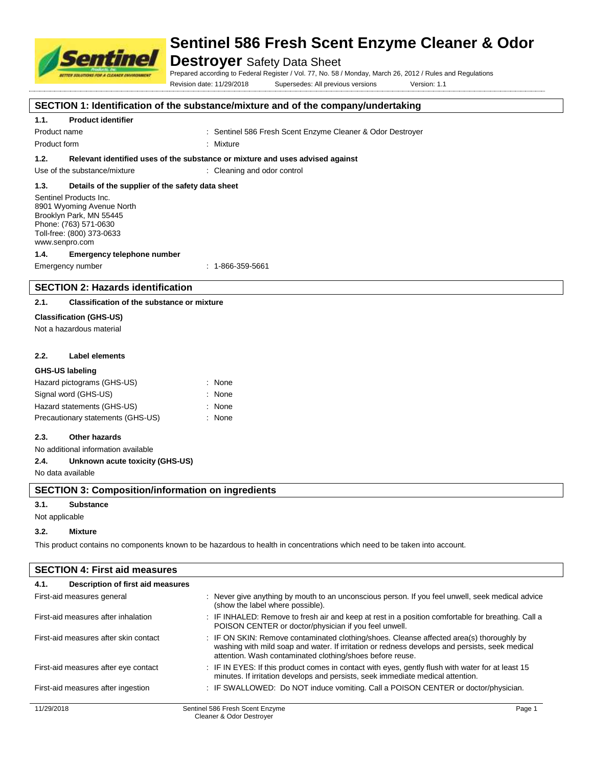

# **Destroyer** Safety Data Sheet

Prepared according to Federal Register / Vol. 77, No. 58 / Monday, March 26, 2012 / Rules and Regulations

Revision date: 11/29/2018 Supersedes: All previous versions Version: 1.1

### **SECTION 1: Identification of the substance/mixture and of the company/undertaking**

#### **1.1. Product identifier**

Product name **: Sentinel 586 Fresh Scent Enzyme Cleaner & Odor Destroyer** : Sentinel 586 Fresh Scent Enzyme Cleaner & Odor Destroyer

Product form : Nixture

**1.2. Relevant identified uses of the substance or mixture and uses advised against**

Use of the substance/mixture : Cleaning and odor control

#### **1.3. Details of the supplier of the safety data sheet**

Sentinel Products Inc. 8901 Wyoming Avenue North Brooklyn Park, MN 55445 Phone: (763) 571-0630 Toll-free: (800) 373-0633 www.senpro.com

#### **1.4. Emergency telephone number**

Emergency number : 1-866-359-5661

# **SECTION 2: Hazards identification**

#### **2.1. Classification of the substance or mixture**

#### **Classification (GHS-US)**

Not a hazardous material

#### **2.2. Label elements**

#### **GHS-US labeling**

| Hazard pictograms (GHS-US)        | : None   |
|-----------------------------------|----------|
| Signal word (GHS-US)              | $:$ None |
| Hazard statements (GHS-US)        | : None   |
| Precautionary statements (GHS-US) | : None   |

#### **2.3. Other hazards**

No additional information available

#### **2.4. Unknown acute toxicity (GHS-US)**

No data available

#### **SECTION 3: Composition/information on ingredients**

#### **3.1. Substance**

Not applicable

#### **3.2. Mixture**

This product contains no components known to be hazardous to health in concentrations which need to be taken into account.

| <b>SECTION 4: First aid measures</b>      |                                                                                                                                                                                                                                                         |
|-------------------------------------------|---------------------------------------------------------------------------------------------------------------------------------------------------------------------------------------------------------------------------------------------------------|
| Description of first aid measures<br>4.1. |                                                                                                                                                                                                                                                         |
| First-aid measures general                | : Never give anything by mouth to an unconscious person. If you feel unwell, seek medical advice<br>(show the label where possible).                                                                                                                    |
| First-aid measures after inhalation       | : IF INHALED: Remove to fresh air and keep at rest in a position comfortable for breathing. Call a<br>POISON CENTER or doctor/physician if you feel unwell.                                                                                             |
| First-aid measures after skin contact     | : IF ON SKIN: Remove contaminated clothing/shoes. Cleanse affected area(s) thoroughly by<br>washing with mild soap and water. If irritation or redness develops and persists, seek medical<br>attention. Wash contaminated clothing/shoes before reuse. |
| First-aid measures after eye contact      | : IF IN EYES: If this product comes in contact with eyes, gently flush with water for at least 15<br>minutes. If irritation develops and persists, seek immediate medical attention.                                                                    |
| First-aid measures after ingestion        | : IF SWALLOWED: Do NOT induce vomiting. Call a POISON CENTER or doctor/physician.                                                                                                                                                                       |
| 11/29/2018                                | Sentinel 586 Fresh Scent Enzyme<br>Page 1                                                                                                                                                                                                               |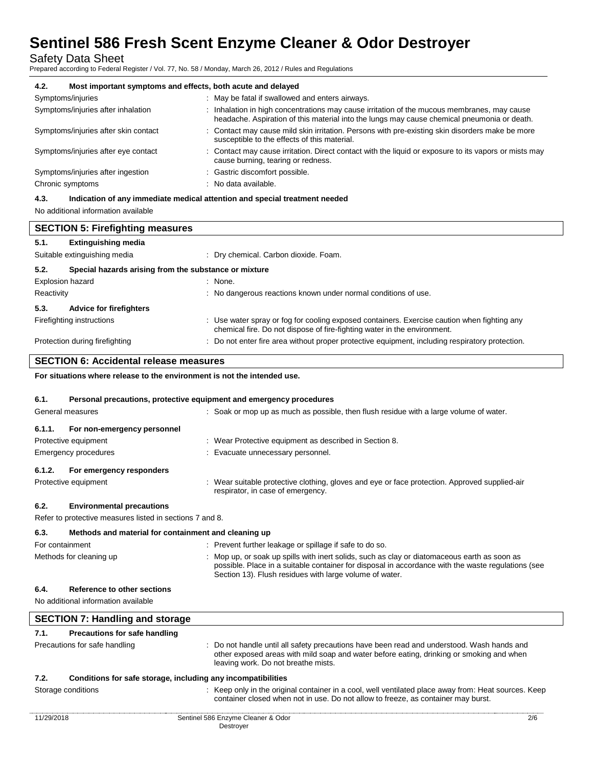Safety Data Sheet

Prepared according to Federal Register / Vol. 77, No. 58 / Monday, March 26, 2012 / Rules and Regulations

| 4.2.<br>Most important symptoms and effects, both acute and delayed |                                                                                                                                                                                            |  |  |
|---------------------------------------------------------------------|--------------------------------------------------------------------------------------------------------------------------------------------------------------------------------------------|--|--|
| Symptoms/injuries                                                   | : May be fatal if swallowed and enters airways.                                                                                                                                            |  |  |
| Symptoms/injuries after inhalation                                  | : Inhalation in high concentrations may cause irritation of the mucous membranes, may cause<br>headache. Aspiration of this material into the lungs may cause chemical pneumonia or death. |  |  |
| Symptoms/injuries after skin contact                                | : Contact may cause mild skin irritation. Persons with pre-existing skin disorders make be more<br>susceptible to the effects of this material.                                            |  |  |
| Symptoms/injuries after eye contact                                 | : Contact may cause irritation. Direct contact with the liquid or exposure to its vapors or mists may<br>cause burning, tearing or redness.                                                |  |  |
| Symptoms/injuries after ingestion                                   | : Gastric discomfort possible.                                                                                                                                                             |  |  |
| Chronic symptoms                                                    | : No data available.                                                                                                                                                                       |  |  |
|                                                                     |                                                                                                                                                                                            |  |  |

**4.3. Indication of any immediate medical attention and special treatment needed**

No additional information available

|                         | <b>SECTION 5: Firefighting measures</b>               |                                                                                                                                                                         |
|-------------------------|-------------------------------------------------------|-------------------------------------------------------------------------------------------------------------------------------------------------------------------------|
| 5.1.                    | <b>Extinguishing media</b>                            |                                                                                                                                                                         |
|                         | Suitable extinguishing media                          | : Dry chemical. Carbon dioxide. Foam.                                                                                                                                   |
| 5.2.                    | Special hazards arising from the substance or mixture |                                                                                                                                                                         |
| <b>Explosion hazard</b> |                                                       | : None.                                                                                                                                                                 |
| Reactivity              |                                                       | : No dangerous reactions known under normal conditions of use.                                                                                                          |
| 5.3.                    | <b>Advice for firefighters</b>                        |                                                                                                                                                                         |
|                         | Firefighting instructions                             | : Use water spray or fog for cooling exposed containers. Exercise caution when fighting any<br>chemical fire. Do not dispose of fire-fighting water in the environment. |
|                         | Protection during firefighting                        | : Do not enter fire area without proper protective equipment, including respiratory protection.                                                                         |
|                         |                                                       |                                                                                                                                                                         |

## **SECTION 6: Accidental release measures**

**For situations where release to the environment is not the intended use.**

#### **6.1. Personal precautions, protective equipment and emergency procedures**

|        | General measures                                         | : Soak or mop up as much as possible, then flush residue with a large volume of water.                                             |
|--------|----------------------------------------------------------|------------------------------------------------------------------------------------------------------------------------------------|
| 6.1.1. | For non-emergency personnel                              |                                                                                                                                    |
|        | Protective equipment                                     | : Wear Protective equipment as described in Section 8.                                                                             |
|        | Emergency procedures                                     | : Evacuate unnecessary personnel.                                                                                                  |
| 6.1.2. | For emergency responders                                 |                                                                                                                                    |
|        | Protective equipment                                     | : Wear suitable protective clothing, gloves and eye or face protection. Approved supplied-air<br>respirator, in case of emergency. |
| 6.2.   | <b>Environmental precautions</b>                         |                                                                                                                                    |
|        | Refer to protective measures listed in sections 7 and 8. |                                                                                                                                    |
| 6.3.   | Methods and material for containment and cleaning up     |                                                                                                                                    |

| For containment         | : Prevent further leakage or spillage if safe to do so.                                                                                                                                                                                                       |
|-------------------------|---------------------------------------------------------------------------------------------------------------------------------------------------------------------------------------------------------------------------------------------------------------|
| Methods for cleaning up | : Mop up, or soak up spills with inert solids, such as clay or diatomaceous earth as soon as<br>possible. Place in a suitable container for disposal in accordance with the waste regulations (see<br>Section 13). Flush residues with large volume of water. |

#### **6.4. Reference to other sections**

No additional information available

|            | <b>SECTION 7: Handling and storage</b> |                                                                                                                                                                                                                               |     |
|------------|----------------------------------------|-------------------------------------------------------------------------------------------------------------------------------------------------------------------------------------------------------------------------------|-----|
| 7.1.       | Precautions for safe handling          |                                                                                                                                                                                                                               |     |
|            | Precautions for safe handling          | : Do not handle until all safety precautions have been read and understood. Wash hands and<br>other exposed areas with mild soap and water before eating, drinking or smoking and when<br>leaving work. Do not breathe mists. |     |
| 7.2.       |                                        | Conditions for safe storage, including any incompatibilities                                                                                                                                                                  |     |
|            | Storage conditions                     | : Keep only in the original container in a cool, well ventilated place away from: Heat sources. Keep<br>container closed when not in use. Do not allow to freeze, as container may burst.                                     |     |
| 11/29/2018 |                                        | Sentinel 586 Enzyme Cleaner & Odor<br>Destrover                                                                                                                                                                               | 2/6 |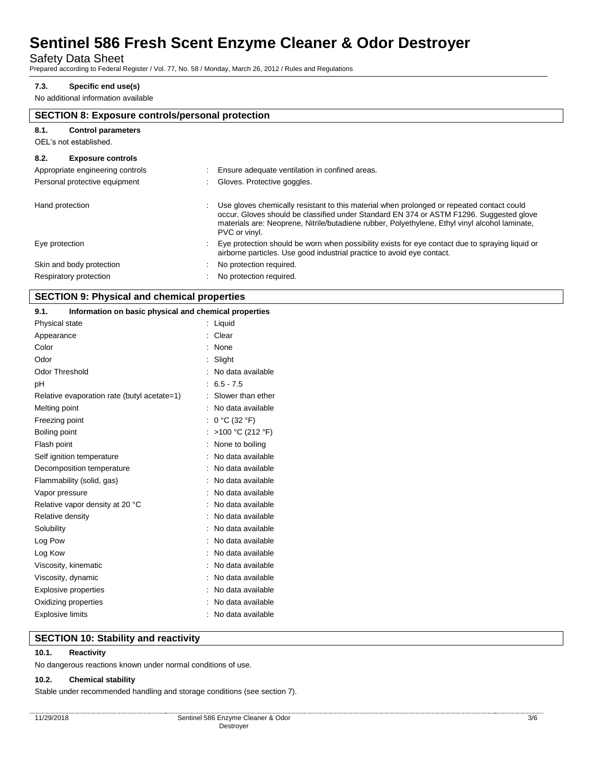Safety Data Sheet

Prepared according to Federal Register / Vol. 77, No. 58 / Monday, March 26, 2012 / Rules and Regulations

### **7.3. Specific end use(s)**

No additional information available

|                                   | <b>SECTION 8: Exposure controls/personal protection</b>                                                                                                                                                                                                                                                 |  |  |
|-----------------------------------|---------------------------------------------------------------------------------------------------------------------------------------------------------------------------------------------------------------------------------------------------------------------------------------------------------|--|--|
| 8.1.<br><b>Control parameters</b> |                                                                                                                                                                                                                                                                                                         |  |  |
| OEL's not established.            |                                                                                                                                                                                                                                                                                                         |  |  |
| 8.2.<br><b>Exposure controls</b>  |                                                                                                                                                                                                                                                                                                         |  |  |
| Appropriate engineering controls  | Ensure adequate ventilation in confined areas.                                                                                                                                                                                                                                                          |  |  |
| Personal protective equipment     | Gloves. Protective goggles.                                                                                                                                                                                                                                                                             |  |  |
| Hand protection                   | Use gloves chemically resistant to this material when prolonged or repeated contact could<br>occur. Gloves should be classified under Standard EN 374 or ASTM F1296. Suggested glove<br>materials are: Neoprene, Nitrile/butadiene rubber, Polyethylene, Ethyl vinyl alcohol laminate,<br>PVC or vinyl. |  |  |
| Eye protection                    | Eye protection should be worn when possibility exists for eye contact due to spraying liquid or<br>airborne particles. Use good industrial practice to avoid eye contact.                                                                                                                               |  |  |
| Skin and body protection          | No protection required.                                                                                                                                                                                                                                                                                 |  |  |
| Respiratory protection            | No protection required.                                                                                                                                                                                                                                                                                 |  |  |

# **SECTION 9: Physical and chemical properties**

| 9.1.                        | Information on basic physical and chemical properties |                     |
|-----------------------------|-------------------------------------------------------|---------------------|
| Physical state              |                                                       | : Liquid            |
| Appearance                  |                                                       | : Clear             |
| Color                       |                                                       | None                |
| Odor                        |                                                       | Slight              |
| <b>Odor Threshold</b>       |                                                       | No data available   |
| рH                          |                                                       | $: 6.5 - 7.5$       |
|                             | Relative evaporation rate (butyl acetate=1)           | : Slower than ether |
| Melting point               |                                                       | : No data available |
| Freezing point              |                                                       | : $0 °C$ (32 °F)    |
| Boiling point               |                                                       | : >100 °C (212 °F)  |
| Flash point                 |                                                       | None to boiling     |
|                             | Self ignition temperature                             | No data available   |
|                             | Decomposition temperature                             | No data available   |
|                             | Flammability (solid, gas)                             | No data available   |
| Vapor pressure              |                                                       | No data available   |
|                             | Relative vapor density at 20 °C                       | : No data available |
| Relative density            |                                                       | No data available   |
| Solubility                  |                                                       | No data available   |
| Log Pow                     |                                                       | No data available   |
| Log Kow                     |                                                       | No data available   |
| Viscosity, kinematic        |                                                       | No data available   |
| Viscosity, dynamic          |                                                       | No data available   |
| <b>Explosive properties</b> |                                                       | No data available   |
| Oxidizing properties        |                                                       | No data available   |
| <b>Explosive limits</b>     |                                                       | : No data available |

### **SECTION 10: Stability and reactivity**

#### **10.1. Reactivity**

No dangerous reactions known under normal conditions of use.

### **10.2. Chemical stability**

Stable under recommended handling and storage conditions (see section 7).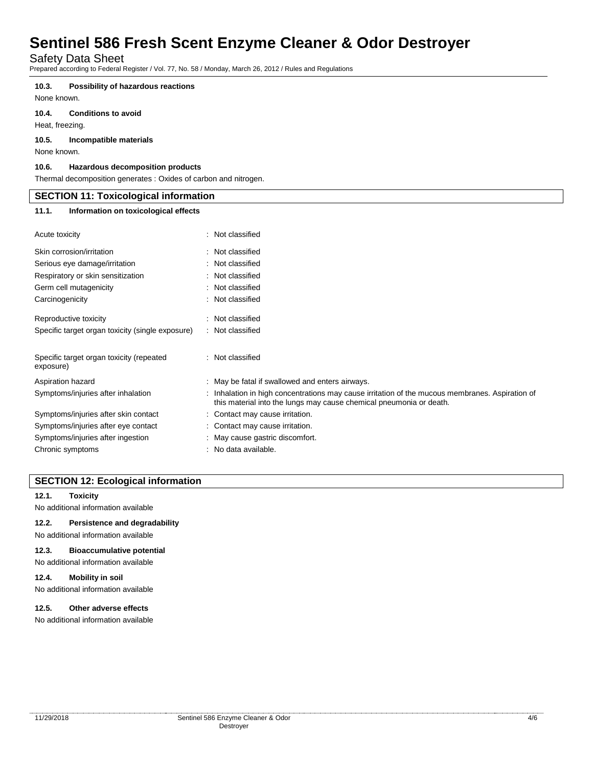Safety Data Sheet

Prepared according to Federal Register / Vol. 77, No. 58 / Monday, March 26, 2012 / Rules and Regulations

#### **10.3. Possibility of hazardous reactions**

None known.

### **10.4. Conditions to avoid**

Heat, freezing.

#### **10.5. Incompatible materials**

None known.

#### **10.6. Hazardous decomposition products**

Thermal decomposition generates : Oxides of carbon and nitrogen.

| <b>SECTION 11: Toxicological information</b> |                                      |  |  |  |
|----------------------------------------------|--------------------------------------|--|--|--|
| 11.1.                                        | Information on toxicological effects |  |  |  |
| Acute toxicity                               | : Not classified                     |  |  |  |
| Skin corrosion/irritation                    | : Not classified                     |  |  |  |
| Serious eye damage/irritation                | : Not classified                     |  |  |  |
| Respiratory or skin sensitization            | : Not classified                     |  |  |  |
| Germ cell mutagenicity                       | : Not classified                     |  |  |  |
| Carcinogenicity                              | : Not classified                     |  |  |  |
| Reproductive toxicity                        | : Not classified                     |  |  |  |

| Specific target organ toxicity (single exposure)      | : Not classified                                                                                                                                                       |
|-------------------------------------------------------|------------------------------------------------------------------------------------------------------------------------------------------------------------------------|
| Specific target organ toxicity (repeated<br>exposure) | : Not classified                                                                                                                                                       |
| Aspiration hazard                                     | : May be fatal if swallowed and enters airways.                                                                                                                        |
| Symptoms/injuries after inhalation                    | : Inhalation in high concentrations may cause irritation of the mucous membranes. Aspiration of<br>this material into the lungs may cause chemical pneumonia or death. |
| Symptoms/injuries after skin contact                  | : Contact may cause irritation.                                                                                                                                        |
| Symptoms/injuries after eye contact                   | : Contact may cause irritation.                                                                                                                                        |
| Symptoms/injuries after ingestion                     | : May cause gastric discomfort.                                                                                                                                        |
| Chronic symptoms                                      | : No data available.                                                                                                                                                   |

### **SECTION 12: Ecological information**

#### **12.1. Toxicity**

No additional information available

#### **12.2. Persistence and degradability**

No additional information available

#### **12.3. Bioaccumulative potential**

No additional information available

#### **12.4. Mobility in soil**

No additional information available

#### **12.5. Other adverse effects**

No additional information available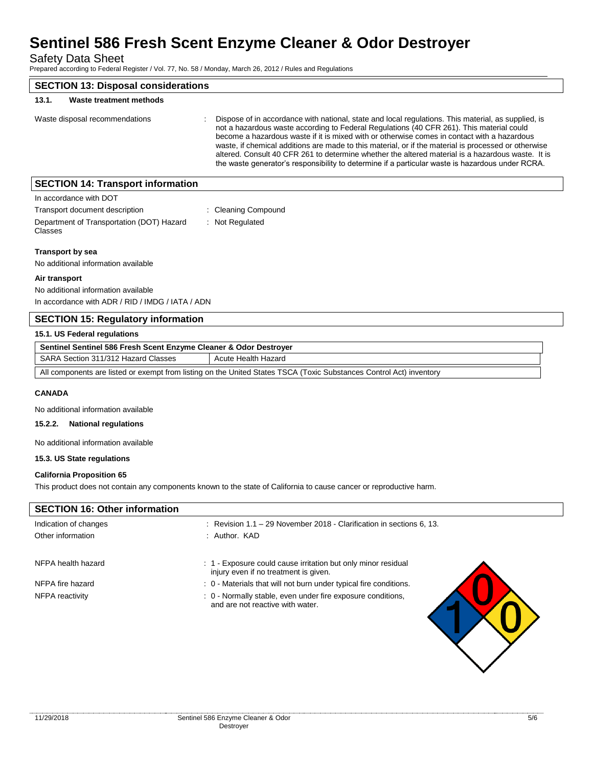Safety Data Sheet

Prepared according to Federal Register / Vol. 77, No. 58 / Monday, March 26, 2012 / Rules and Regulations

| <b>SECTION 13: Disposal considerations</b> |                                                                                                                                                                                                                                                                                                                                                                                                                                                                                                                                                                                                                 |
|--------------------------------------------|-----------------------------------------------------------------------------------------------------------------------------------------------------------------------------------------------------------------------------------------------------------------------------------------------------------------------------------------------------------------------------------------------------------------------------------------------------------------------------------------------------------------------------------------------------------------------------------------------------------------|
| Waste treatment methods<br>13.1.           |                                                                                                                                                                                                                                                                                                                                                                                                                                                                                                                                                                                                                 |
| Waste disposal recommendations             | Dispose of in accordance with national, state and local regulations. This material, as supplied, is<br>not a hazardous waste according to Federal Regulations (40 CFR 261). This material could<br>become a hazardous waste if it is mixed with or otherwise comes in contact with a hazardous<br>waste, if chemical additions are made to this material, or if the material is processed or otherwise<br>altered. Consult 40 CFR 261 to determine whether the altered material is a hazardous waste. It is<br>the waste generator's responsibility to determine if a particular waste is hazardous under RCRA. |
| <b>SECTION 14: Transport information</b>   |                                                                                                                                                                                                                                                                                                                                                                                                                                                                                                                                                                                                                 |

| In accordance with DOT                               |                     |
|------------------------------------------------------|---------------------|
| Transport document description                       | : Cleaning Compound |
| Department of Transportation (DOT) Hazard<br>Classes | : Not Regulated     |

**Transport by sea**

No additional information available

#### **Air transport**

No additional information available In accordance with ADR / RID / IMDG / IATA / ADN

# **SECTION 15: Regulatory information**

| 15.1. US Federal regulations                                                                                        |                     |  |  |
|---------------------------------------------------------------------------------------------------------------------|---------------------|--|--|
| Sentinel Sentinel 586 Fresh Scent Enzyme Cleaner & Odor Destroyer                                                   |                     |  |  |
| SARA Section 311/312 Hazard Classes                                                                                 | Acute Health Hazard |  |  |
| All components are listed or exempt from listing on the United States TSCA (Toxic Substances Control Act) inventory |                     |  |  |

#### **CANADA**

No additional information available

#### **15.2.2. National regulations**

No additional information available

### **15.3. US State regulations**

#### **California Proposition 65**

This product does not contain any components known to the state of California to cause cancer or reproductive harm.

| <b>SECTION 16: Other information</b> |                                                                                                      |
|--------------------------------------|------------------------------------------------------------------------------------------------------|
| Indication of changes                | Revision 1.1 – 29 November 2018 - Clarification in sections 6, 13.<br>٠                              |
| Other information                    | : Author, KAD                                                                                        |
| NFPA health hazard                   | : 1 Exposure could cause irritation but only minor residual<br>injury even if no treatment is given. |
| NFPA fire hazard                     | : 0 - Materials that will not burn under typical fire conditions.                                    |
| NFPA reactivity                      | : 0 - Normally stable, even under fire exposure conditions,<br>and are not reactive with water.      |